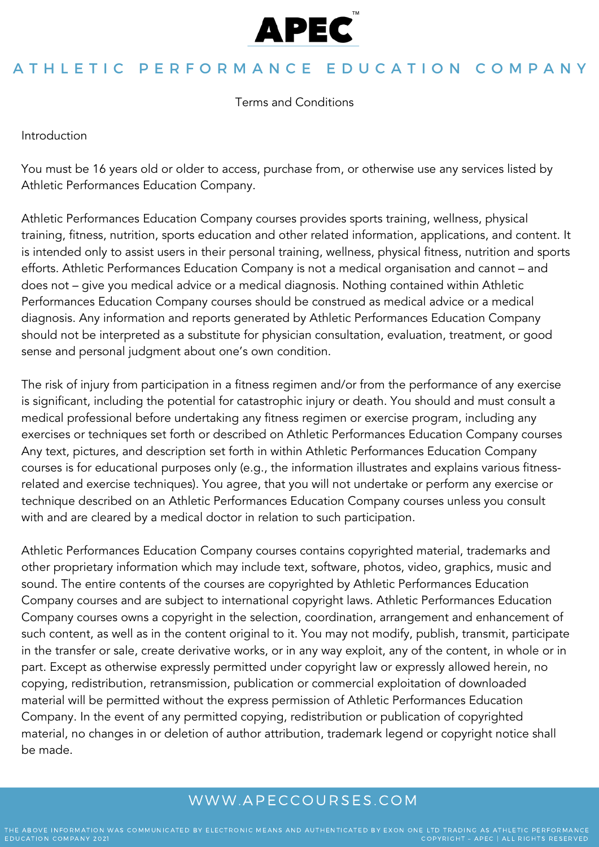

Terms and Conditions

Introduction

You must be 16 years old or older to access, purchase from, or otherwise use any services listed by Athletic Performances Education Company.

Athletic Performances Education Company courses provides sports training, wellness, physical training, fitness, nutrition, sports education and other related information, applications, and content. It is intended only to assist users in their personal training, wellness, physical fitness, nutrition and sports efforts. Athletic Performances Education Company is not a medical organisation and cannot – and does not – give you medical advice or a medical diagnosis. Nothing contained within Athletic Performances Education Company courses should be construed as medical advice or a medical diagnosis. Any information and reports generated by Athletic Performances Education Company should not be interpreted as a substitute for physician consultation, evaluation, treatment, or good sense and personal judgment about one's own condition.

The risk of injury from participation in a fitness regimen and/or from the performance of any exercise is significant, including the potential for catastrophic injury or death. You should and must consult a medical professional before undertaking any fitness regimen or exercise program, including any exercises or techniques set forth or described on Athletic Performances Education Company courses Any text, pictures, and description set forth in within Athletic Performances Education Company courses is for educational purposes only (e.g., the information illustrates and explains various fitnessrelated and exercise techniques). You agree, that you will not undertake or perform any exercise or technique described on an Athletic Performances Education Company courses unless you consult with and are cleared by a medical doctor in relation to such participation.

Athletic Performances Education Company courses contains copyrighted material, trademarks and other proprietary information which may include text, software, photos, video, graphics, music and sound. The entire contents of the courses are copyrighted by Athletic Performances Education Company courses and are subject to international copyright laws. Athletic Performances Education Company courses owns a copyright in the selection, coordination, arrangement and enhancement of such content, as well as in the content original to it. You may not modify, publish, transmit, participate in the transfer or sale, create derivative works, or in any way exploit, any of the content, in whole or in part. Except as otherwise expressly permitted under copyright law or expressly allowed herein, no copying, redistribution, retransmission, publication or commercial exploitation of downloaded material will be permitted without the express permission of Athletic Performances Education Company. In the event of any permitted copying, redistribution or publication of copyrighted material, no changes in or deletion of author attribution, trademark legend or copyright notice shall be made.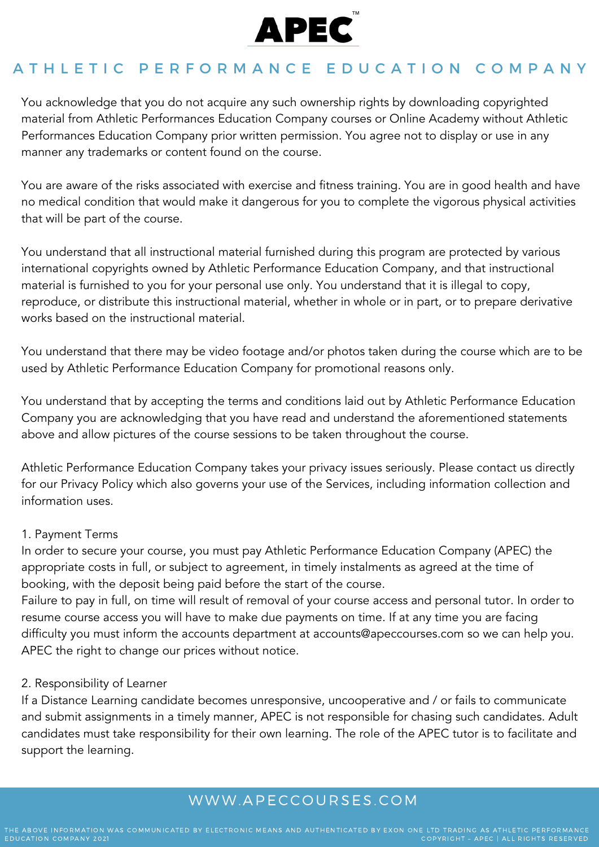

You acknowledge that you do not acquire any such ownership rights by downloading copyrighted material from Athletic Performances Education Company courses or Online Academy without Athletic Performances Education Company prior written permission. You agree not to display or use in any manner any trademarks or content found on the course.

You are aware of the risks associated with exercise and fitness training. You are in good health and have no medical condition that would make it dangerous for you to complete the vigorous physical activities that will be part of the course.

You understand that all instructional material furnished during this program are protected by various international copyrights owned by Athletic Performance Education Company, and that instructional material is furnished to you for your personal use only. You understand that it is illegal to copy, reproduce, or distribute this instructional material, whether in whole or in part, or to prepare derivative works based on the instructional material.

You understand that there may be video footage and/or photos taken during the course which are to be used by Athletic Performance Education Company for promotional reasons only.

You understand that by accepting the terms and conditions laid out by Athletic Performance Education Company you are acknowledging that you have read and understand the aforementioned statements above and allow pictures of the course sessions to be taken throughout the course.

Athletic Performance Education Company takes your privacy issues seriously. Please contact us directly for our Privacy Policy which also governs your use of the Services, including information collection and information uses.

### 1. Payment Terms

In order to secure your course, you must pay Athletic Performance Education Company (APEC) the appropriate costs in full, or subject to agreement, in timely instalments as agreed at the time of booking, with the deposit being paid before the start of the course.

Failure to pay in full, on time will result of removal of your course access and personal tutor. In order to resume course access you will have to make due payments on time. If at any time you are facing difficulty you must inform the accounts department at accounts@apeccourses.com so we can help you. APEC the right to change our prices without notice.

### 2. Responsibility of Learner

If a Distance Learning candidate becomes unresponsive, uncooperative and / or fails to communicate and submit assignments in a timely manner, APEC is not responsible for chasing such candidates. Adult candidates must take responsibility for their own learning. The role of the APEC tutor is to facilitate and support the learning.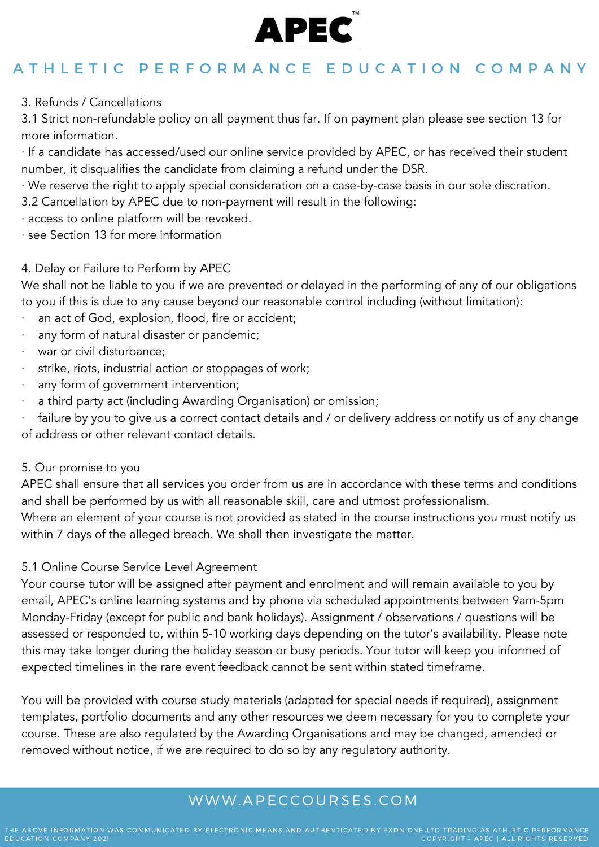

3. Refunds / Cancellations

3.1 Strict non-refundable policy on all payment thus far. If on payment plan please see section 13 for more information.

· If a candidate has accessed/used our online service provided by APEC, or has received their student number, it disqualifies the candidate from claiming a refund under the DSR.

· We reserve the right to apply special consideration on a case-by-case basis in our sole discretion.

3.2 Cancellation by APEC due to non-payment will result in the following:

- · access to online platform will be revoked.
- · see Section 13 for more information

### 4. Delay or Failure to Perform by APEC

We shall not be liable to you if we are prevented or delayed in the performing of any of our obligations to you if this is due to any cause beyond our reasonable control including (without limitation):

- an act of God, explosion, flood, fire or accident;
- any form of natural disaster or pandemic;
- war or civil disturbance;
- strike, riots, industrial action or stoppages of work;
- any form of government intervention;
- a third party act (including Awarding Organisation) or omission;

failure by you to give us a correct contact details and / or delivery address or notify us of any change of address or other relevant contact details.

5. Our promise to you

APEC shall ensure that all services you order from us are in accordance with these terms and conditions and shall be performed by us with all reasonable skill, care and utmost professionalism.

Where an element of your course is not provided as stated in the course instructions you must notify us within 7 days of the alleged breach. We shall then investigate the matter.

### 5.1 Online Course Service Level Agreement

Your course tutor will be assigned after payment and enrolment and will remain available to you by email, APEC's online learning systems and by phone via scheduled appointments between 9am-5pm Monday-Friday (except for public and bank holidays). Assignment / observations / questions will be assessed or responded to, within 5-10 working days depending on the tutor's availability. Please note this may take longer during the holiday season or busy periods. Your tutor will keep you informed of expected timelines in the rare event feedback cannot be sent within stated timeframe.

You will be provided with course study materials (adapted for special needs if required), assignment templates, portfolio documents and any other resources we deem necessary for you to complete your course. These are also regulated by the Awarding Organisations and may be changed, amended or removed without notice, if we are required to do so by any regulatory authority.

### WWW. A PECCOURSES. COM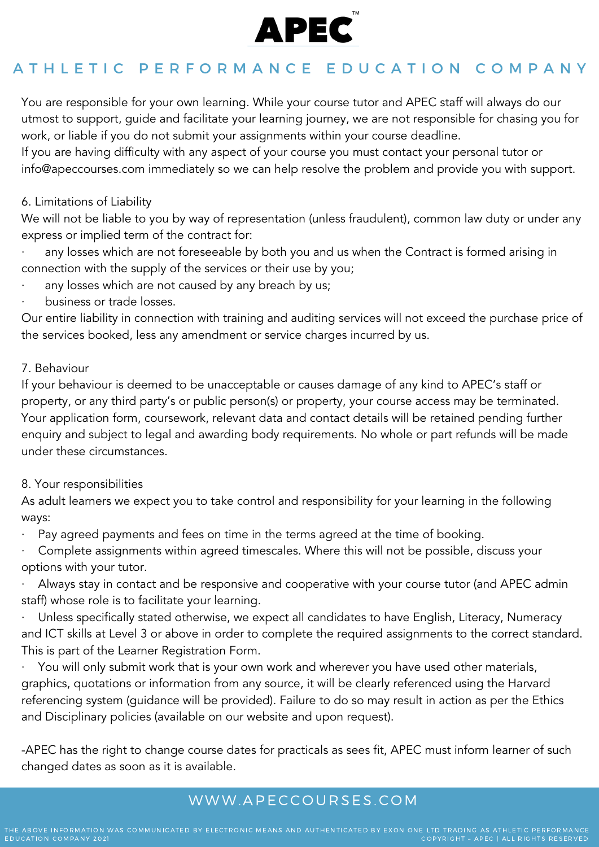

You are responsible for your own learning. While your course tutor and APEC staff will always do our utmost to support, guide and facilitate your learning journey, we are not responsible for chasing you for work, or liable if you do not submit your assignments within your course deadline.

If you are having difficulty with any aspect of your course you must contact your personal tutor or info@apeccourses.com immediately so we can help resolve the problem and provide you with support.

### 6. Limitations of Liability

We will not be liable to you by way of representation (unless fraudulent), common law duty or under any express or implied term of the contract for:

any losses which are not foreseeable by both you and us when the Contract is formed arising in connection with the supply of the services or their use by you;

- any losses which are not caused by any breach by us;
- · business or trade losses.

Our entire liability in connection with training and auditing services will not exceed the purchase price of the services booked, less any amendment or service charges incurred by us.

### 7. Behaviour

If your behaviour is deemed to be unacceptable or causes damage of any kind to APEC's staff or property, or any third party's or public person(s) or property, your course access may be terminated. Your application form, coursework, relevant data and contact details will be retained pending further enquiry and subject to legal and awarding body requirements. No whole or part refunds will be made under these circumstances.

### 8. Your responsibilities

As adult learners we expect you to take control and responsibility for your learning in the following ways:

Pay agreed payments and fees on time in the terms agreed at the time of booking.

· Complete assignments within agreed timescales. Where this will not be possible, discuss your options with your tutor.

Always stay in contact and be responsive and cooperative with your course tutor (and APEC admin staff) whose role is to facilitate your learning.

Unless specifically stated otherwise, we expect all candidates to have English, Literacy, Numeracy and ICT skills at Level 3 or above in order to complete the required assignments to the correct standard. This is part of the Learner Registration Form.

You will only submit work that is your own work and wherever you have used other materials, graphics, quotations or information from any source, it will be clearly referenced using the Harvard referencing system (guidance will be provided). Failure to do so may result in action as per the Ethics and Disciplinary policies (available on our website and upon request).

-APEC has the right to change course dates for practicals as sees fit, APEC must inform learner of such changed dates as soon as it is available.

# WWW. A PECCOURSES. COM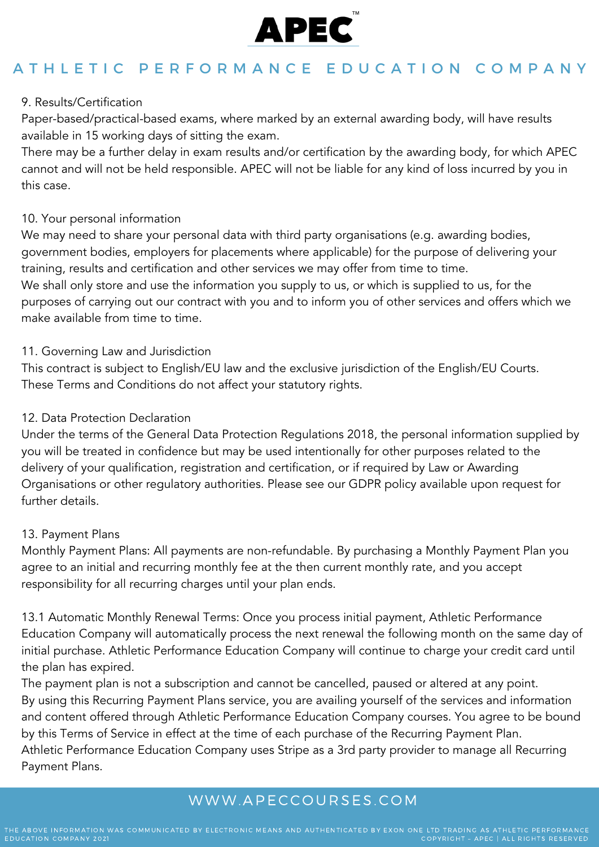

### 9. Results/Certification

Paper-based/practical-based exams, where marked by an external awarding body, will have results available in 15 working days of sitting the exam.

There may be a further delay in exam results and/or certification by the awarding body, for which APEC cannot and will not be held responsible. APEC will not be liable for any kind of loss incurred by you in this case.

### 10. Your personal information

We may need to share your personal data with third party organisations (e.g. awarding bodies, government bodies, employers for placements where applicable) for the purpose of delivering your training, results and certification and other services we may offer from time to time. We shall only store and use the information you supply to us, or which is supplied to us, for the purposes of carrying out our contract with you and to inform you of other services and offers which we make available from time to time.

### 11. Governing Law and Jurisdiction

This contract is subject to English/EU law and the exclusive jurisdiction of the English/EU Courts. These Terms and Conditions do not affect your statutory rights.

### 12. Data Protection Declaration

Under the terms of the General Data Protection Regulations 2018, the personal information supplied by you will be treated in confidence but may be used intentionally for other purposes related to the delivery of your qualification, registration and certification, or if required by Law or Awarding Organisations or other regulatory authorities. Please see our GDPR policy available upon request for further details.

### 13. Payment Plans

Monthly Payment Plans: All payments are non-refundable. By purchasing a Monthly Payment Plan you agree to an initial and recurring monthly fee at the then current monthly rate, and you accept responsibility for all recurring charges until your plan ends.

13.1 Automatic Monthly Renewal Terms: Once you process initial payment, Athletic Performance Education Company will automatically process the next renewal the following month on the same day of initial purchase. Athletic Performance Education Company will continue to charge your credit card until the plan has expired.

The payment plan is not a subscription and cannot be cancelled, paused or altered at any point. By using this Recurring Payment Plans service, you are availing yourself of the services and information and content offered through Athletic Performance Education Company courses. You agree to be bound by this Terms of Service in effect at the time of each purchase of the Recurring Payment Plan. Athletic Performance Education Company uses Stripe as a 3rd party provider to manage all Recurring Payment Plans.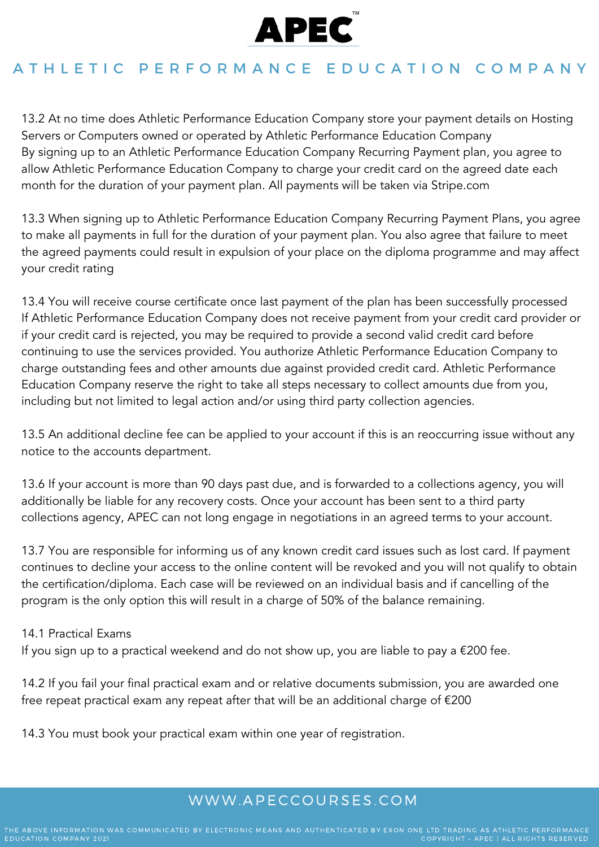

13.2 At no time does Athletic Performance Education Company store your payment details on Hosting Servers or Computers owned or operated by Athletic Performance Education Company By signing up to an Athletic Performance Education Company Recurring Payment plan, you agree to allow Athletic Performance Education Company to charge your credit card on the agreed date each month for the duration of your payment plan. All payments will be taken via Stripe.com

13.3 When signing up to Athletic Performance Education Company Recurring Payment Plans, you agree to make all payments in full for the duration of your payment plan. You also agree that failure to meet the agreed payments could result in expulsion of your place on the diploma programme and may affect your credit rating

13.4 You will receive course certificate once last payment of the plan has been successfully processed If Athletic Performance Education Company does not receive payment from your credit card provider or if your credit card is rejected, you may be required to provide a second valid credit card before continuing to use the services provided. You authorize Athletic Performance Education Company to charge outstanding fees and other amounts due against provided credit card. Athletic Performance Education Company reserve the right to take all steps necessary to collect amounts due from you, including but not limited to legal action and/or using third party collection agencies.

13.5 An additional decline fee can be applied to your account if this is an reoccurring issue without any notice to the accounts department.

13.6 If your account is more than 90 days past due, and is forwarded to a collections agency, you will additionally be liable for any recovery costs. Once your account has been sent to a third party collections agency, APEC can not long engage in negotiations in an agreed terms to your account.

13.7 You are responsible for informing us of any known credit card issues such as lost card. If payment continues to decline your access to the online content will be revoked and you will not qualify to obtain the certification/diploma. Each case will be reviewed on an individual basis and if cancelling of the program is the only option this will result in a charge of 50% of the balance remaining.

### 14.1 Practical Exams

If you sign up to a practical weekend and do not show up, you are liable to pay a €200 fee.

14.2 If you fail your final practical exam and or relative documents submission, you are awarded one free repeat practical exam any repeat after that will be an additional charge of €200

14.3 You must book your practical exam within one year of registration.